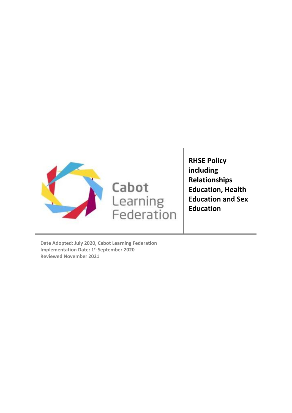

**RHSE Policy including Relationships Education, Health Education and Sex Education**

<span id="page-0-0"></span>**Date Adopted: July 2020, Cabot Learning Federation Implementation Date: 1st September 2020 Reviewed November 2021**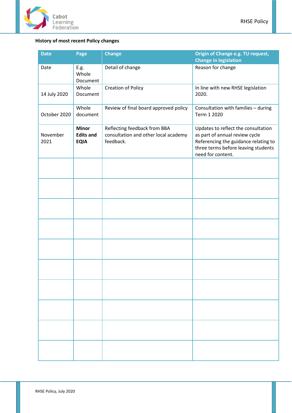

# **History of most recent Policy changes**

| <b>Date</b>      | Page                                            | <b>Change</b>                                                                     | Origin of Change e.g. TU request,<br><b>Change in legislation</b>                                                                                                         |
|------------------|-------------------------------------------------|-----------------------------------------------------------------------------------|---------------------------------------------------------------------------------------------------------------------------------------------------------------------------|
| Date             | E.g.<br>Whole<br>Document                       | Detail of change                                                                  | Reason for change                                                                                                                                                         |
| 14 July 2020     | Whole<br>Document                               | <b>Creation of Policy</b>                                                         | In line with new RHSE legislation<br>2020.                                                                                                                                |
| October 2020     | Whole<br>document                               | Review of final board approved policy                                             | Consultation with families - during<br>Term 1 2020                                                                                                                        |
| November<br>2021 | <b>Minor</b><br><b>Edits and</b><br><b>EQIA</b> | Reflecting feedback from BBA<br>consultation and other local academy<br>feedback. | Updates to reflect the consultation<br>as part of annual review cycle<br>Referencing the guidance relating to<br>three terms before leaving students<br>need for content. |
|                  |                                                 |                                                                                   |                                                                                                                                                                           |
|                  |                                                 |                                                                                   |                                                                                                                                                                           |
|                  |                                                 |                                                                                   |                                                                                                                                                                           |
|                  |                                                 |                                                                                   |                                                                                                                                                                           |
|                  |                                                 |                                                                                   |                                                                                                                                                                           |
|                  |                                                 |                                                                                   |                                                                                                                                                                           |
|                  |                                                 |                                                                                   |                                                                                                                                                                           |
|                  |                                                 |                                                                                   |                                                                                                                                                                           |
|                  |                                                 |                                                                                   |                                                                                                                                                                           |
|                  |                                                 |                                                                                   |                                                                                                                                                                           |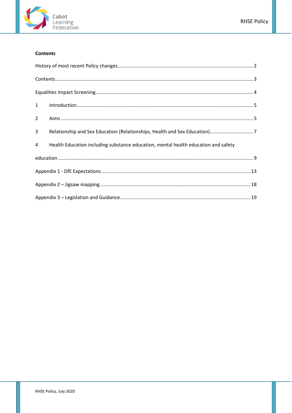

# <span id="page-2-0"></span>**Contents**

| 1              |                                                                                    |  |  |
|----------------|------------------------------------------------------------------------------------|--|--|
| $\overline{2}$ |                                                                                    |  |  |
| 3              |                                                                                    |  |  |
| 4              | Health Education including substance education, mental health education and safety |  |  |
|                |                                                                                    |  |  |
|                |                                                                                    |  |  |
|                |                                                                                    |  |  |
|                |                                                                                    |  |  |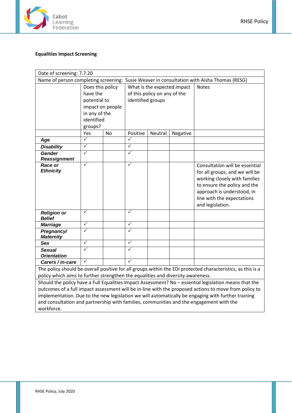

# <span id="page-3-0"></span>**Equalities Impact Screening**

| Date of screening: 7.7.20                                                                             |                  |                  |                   |                              |                             |                                                                                                             |
|-------------------------------------------------------------------------------------------------------|------------------|------------------|-------------------|------------------------------|-----------------------------|-------------------------------------------------------------------------------------------------------------|
| Name of person completing screening: Susie Weaver in consultation with Aisha Thomas (RESG)            |                  |                  |                   |                              |                             |                                                                                                             |
|                                                                                                       | Does this policy |                  |                   |                              | What is the expected impact | <b>Notes</b>                                                                                                |
|                                                                                                       | have the         |                  |                   | of this policy on any of the |                             |                                                                                                             |
|                                                                                                       | potential to     |                  | identified groups |                              |                             |                                                                                                             |
|                                                                                                       |                  | impact on people |                   |                              |                             |                                                                                                             |
|                                                                                                       | in any of the    |                  |                   |                              |                             |                                                                                                             |
|                                                                                                       | identified       |                  |                   |                              |                             |                                                                                                             |
|                                                                                                       | groups?          |                  |                   |                              |                             |                                                                                                             |
|                                                                                                       | Yes              | <b>No</b>        | Positive          | Neutral                      | Negative                    |                                                                                                             |
| Age                                                                                                   | $\checkmark$     |                  | ✓                 |                              |                             |                                                                                                             |
| <b>Disability</b>                                                                                     | $\checkmark$     |                  | $\checkmark$      |                              |                             |                                                                                                             |
| <b>Gender</b><br><b>Reassignment</b>                                                                  | $\checkmark$     |                  | ✓                 |                              |                             |                                                                                                             |
| <b>Race or</b>                                                                                        | $\checkmark$     |                  | $\sqrt{}$         |                              |                             | Consultation will be essential                                                                              |
| <b>Ethnicity</b>                                                                                      |                  |                  |                   |                              |                             | for all groups, and we will be                                                                              |
|                                                                                                       |                  |                  |                   |                              |                             | working closely with families                                                                               |
|                                                                                                       |                  |                  |                   |                              |                             | to ensure the policy and the                                                                                |
|                                                                                                       |                  |                  |                   |                              |                             | approach is understood, in                                                                                  |
|                                                                                                       |                  |                  |                   |                              |                             | line with the expectations                                                                                  |
|                                                                                                       |                  |                  |                   |                              |                             | and legislation.                                                                                            |
| <b>Religion or</b>                                                                                    | ✓                |                  | ✓                 |                              |                             |                                                                                                             |
| <b>Belief</b>                                                                                         |                  |                  |                   |                              |                             |                                                                                                             |
| <b>Marriage</b>                                                                                       | ✓                |                  | ✓                 |                              |                             |                                                                                                             |
| Pregnancy/<br><b>Maternity</b>                                                                        | $\checkmark$     |                  | $\checkmark$      |                              |                             |                                                                                                             |
| <b>Sex</b>                                                                                            | $\checkmark$     |                  | ✓                 |                              |                             |                                                                                                             |
| <b>Sexual</b>                                                                                         | $\checkmark$     |                  | $\checkmark$      |                              |                             |                                                                                                             |
| <b>Orientation</b>                                                                                    |                  |                  |                   |                              |                             |                                                                                                             |
| Carers / in-care                                                                                      | $\checkmark$     |                  | $\checkmark$      |                              |                             |                                                                                                             |
|                                                                                                       |                  |                  |                   |                              |                             | The policy should be overall positive for all groups within the EDI protected characteristics, as this is a |
| policy which aims to further strengthen the equalities and diversity awareness.                       |                  |                  |                   |                              |                             |                                                                                                             |
| Should the policy have a Full Equalities Impact Assessment? No - essential legislation means that the |                  |                  |                   |                              |                             |                                                                                                             |
| outcomes of a full impact assessment will be in-line with the proposed actions to move from policy to |                  |                  |                   |                              |                             |                                                                                                             |
|                                                                                                       |                  |                  |                   |                              |                             | inglamentation. Due to the new legislation we will outematically be engaging with further training          |

implementation. Due to the new legislation we will automatically be engaging with further training and consultation and partnership with families, communities and the engagement with the workforce.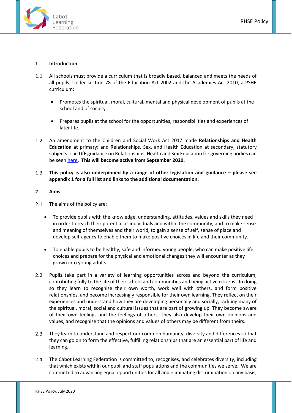

#### <span id="page-4-0"></span>**1 Introduction**

- All schools must provide a curriculum that is broadly based, balanced and meets the needs of  $1.1$ all pupils. Under section 78 of the Education Act 2002 and the Academies Act 2010, a PSHE curriculum:
	- Promotes the spiritual, moral, cultural, mental and physical development of pupils at the school and of society
	- Prepares pupils at the school for the opportunities, responsibilities and experiences of later life.
- $1.2$ An amendment to the Children and Social Work Act 2017 made **Relationships and Health Education** at primary; and Relationships, Sex, and Health Education at secondary, statutory subjects. The DfE guidance on Relationships, Health and Sex Education for governing bodies can be seen [here.](https://assets.publishing.service.gov.uk/government/uploads/system/uploads/attachment_data/file/805781/Relationships_Education__Relationships_and_Sex_Education__RSE__and_Health_Education.pdf) **This will become active from September 2020.**
- $1.3$ **This policy is also underpinned by a range of other legislation and guidance – please see appendix 1 for a full list and links to the additional documentation.**

#### <span id="page-4-1"></span>**2 Aims**

- $2.1$ The aims of the policy are:
	- To provide pupils with the knowledge, understanding, attitudes, values and skills they need in order to reach their potential as individuals and within the community, and to make sense and meaning of themselves and their world, to gain a sense of self, sense of place and develop self-agency to enable them to make positive choices in life and their community.
	- To enable pupils to be healthy, safe and informed young people, who can make positive life choices and prepare for the physical and emotional changes they will encounter as they grown into young adults.
- $2.2$ Pupils take part in a variety of learning opportunities across and beyond the curriculum, contributing fully to the life of their school and communities and being active citizens. In doing so they learn to recognise their own worth, work well with others, and form positive relationships, and become increasingly responsible for their own learning. They reflect on their experiences and understand how they are developing personally and socially, tackling many of the spiritual, moral, social and cultural issues that are part of growing up. They become aware of their own feelings and the feelings of others. They also develop their own opinions and values, and recognise that the opinions and values of others may be different from theirs.
- 2.3 They learn to understand and respect our common humanity; diversity and differences so that they can go on to form the effective, fulfilling relationships that are an essential part of life and learning.
- $2.4$ The Cabot Learning Federation is committed to, recognises, and celebrates diversity, including that which exists within our pupil and staff populations and the communities we serve. We are committed to advancing equal opportunities for all and eliminating discrimination on any basis,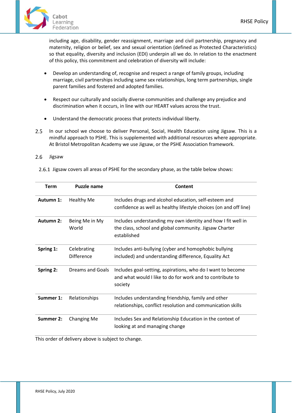

including age, disability, gender reassignment, marriage and civil partnership, pregnancy and maternity, religion or belief, sex and sexual orientation (defined as Protected Characteristics) so that equality, diversity and inclusion (EDI) underpin all we do. In relation to the enactment of this policy, this commitment and celebration of diversity will include:

- Develop an understanding of, recognise and respect a range of family groups, including marriage, civil partnerships including same sex relationships, long term partnerships, single parent families and fostered and adopted families.
- Respect our culturally and socially diverse communities and challenge any prejudice and discrimination when it occurs, in line with our HEART values across the trust.
- Understand the democratic process that protects individual liberty.
- $2.5$ In our school we choose to deliver Personal, Social, Health Education using Jigsaw. This is a mindful approach to PSHE. This is supplemented with additional resources where appropriate. At Bristol Metropolitan Academy we use Jigsaw, or the PSHE Association framework.

#### $2.6$ Jigsaw

| <b>Term</b> | <b>Puzzle name</b>        | Content                                                                                                                               |
|-------------|---------------------------|---------------------------------------------------------------------------------------------------------------------------------------|
| Autumn 1:   | <b>Healthy Me</b>         | Includes drugs and alcohol education, self-esteem and<br>confidence as well as healthy lifestyle choices (on and off line)            |
| Autumn 2:   | Being Me in My<br>World   | Includes understanding my own identity and how I fit well in<br>the class, school and global community. Jigsaw Charter<br>established |
| Spring 1:   | Celebrating<br>Difference | Includes anti-bullying (cyber and homophobic bullying<br>included) and understanding difference, Equality Act                         |
| Spring 2:   | Dreams and Goals          | Includes goal-setting, aspirations, who do I want to become<br>and what would I like to do for work and to contribute to<br>society   |
| Summer 1:   | Relationships             | Includes understanding friendship, family and other<br>relationships, conflict resolution and communication skills                    |
| Summer 2:   | <b>Changing Me</b>        | Includes Sex and Relationship Education in the context of<br>looking at and managing change                                           |

This order of delivery above is subject to change.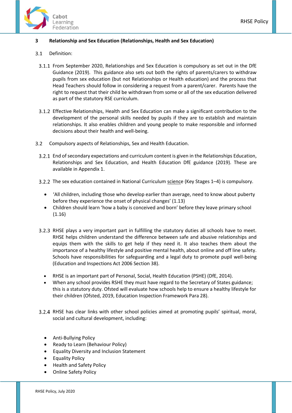

### <span id="page-6-0"></span>**3 Relationship and Sex Education (Relationships, Health and Sex Education)**

#### $3.1$ Definition:

- From September 2020, Relationships and Sex Education is compulsory as set out in the DfE Guidance (2019). This guidance also sets out both the rights of parents/carers to withdraw pupils from sex education (but not Relationships or Health education) and the process that Head Teachers should follow in considering a request from a parent/carer. Parents have the right to request that their child be withdrawn from some or all of the sex education delivered as part of the statutory RSE curriculum.
- Effective Relationships, Health and Sex Education can make a significant contribution to the development of the personal skills needed by pupils if they are to establish and maintain relationships. It also enables children and young people to make responsible and informed decisions about their health and well-being.
- $3.2$ Compulsory aspects of Relationships, Sex and Health Education.
	- End of secondary expectations and curriculum content is given in the Relationships Education, Relationships and Sex Education, and Health Education DfE guidance (2019). These are available in Appendix 1.
	- 3.2.2 The sex education contained in National Curriculum science (Key Stages 1-4) is compulsory.
		- 'All children, including those who develop earlier than average, need to know about puberty before they experience the onset of physical changes' (1.13)
		- Children should learn 'how a baby is conceived and born' before they leave primary school (1.16)
	- 3.2.3 RHSE plays a very important part in fulfilling the statutory duties all schools have to meet. RHSE helps children understand the difference between safe and abusive relationships and equips them with the skills to get help if they need it. It also teaches them about the importance of a healthy lifestyle and positive mental health, about online and off line safety. Schools have responsibilities for safeguarding and a legal duty to promote pupil well-being (Education and Inspections Act 2006 Section 38).
		- RHSE is an important part of Personal, Social, Health Education (PSHE) (DfE, 2014).
		- When any school provides RSHE they must have regard to the Secretary of States guidance; this is a statutory duty. Ofsted will evaluate how schools help to ensure a healthy lifestyle for their children (Ofsted, 2019, Education Inspection Framework Para 28).
	- 3.2.4 RHSE has clear links with other school policies aimed at promoting pupils' spiritual, moral, social and cultural development, including:
		- Anti-Bullying Policy
		- Ready to Learn (Behaviour Policy)
		- Equality Diversity and Inclusion Statement
		- Equality Policy
		- Health and Safety Policy
		- Online Safety Policy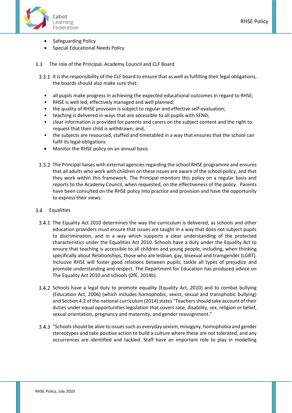- Safeguarding Policy
- Special Educational Needs Policy
- The role of the Principal, Academy Council and CLF Board
	- 3.3.1 It is the responsibility of the CLF board to ensure that as well as fulfilling their legal obligations, the boards should also make sure that:
		- all pupils make progress in achieving the expected educational outcomes in regard to RHSE;
		- RHSE is well led, effectively managed and well planned;
		- the quality of RHSE provision is subject to regular and effective self-evaluation;
		- teaching is delivered in ways that are accessible to all pupils with SEND;
		- clear information is provided for parents and carers on the subject content and the right to request that their child is withdrawn; and,
		- the subjects are resourced, staffed and timetabled in a way that ensures that the school can fulfil its legal obligations
		- Monitor the RHSE policy on an annual basis
	- The Principal liaises with external agencies regarding the school RHSE programme and ensures that all adults who work with children on these issues are aware of the school policy, and that they work within this framework. The Principal monitors this policy on a regular basis and reports to the Academy Council, when requested, on the effectiveness of the policy. Parents have been consulted on the RHSE policy into practice and provision and have the opportunity to express their views.
- $3.4$ Equalities
	- The Equality Act 2010 determines the way the curriculum is delivered, as schools and other education providers must ensure that issues are taught in a way that does not subject pupils to discrimination, and in a way which supports a clear understanding of the protected characteristics under the Equalities Act 2010. Schools have a duty under the Equality Act to ensure that teaching is accessible to all children and young people, including, when thinking specifically about Relationships, those who are lesbian, gay, bisexual and transgender (LGBT). Inclusive RHSE will foster good relations between pupils, tackle all types of prejudice and promote understanding and respect. The Department for Education has produced advice on The Equality Act 2010 and schools (DfE, 2014b).
	- 3.4.2 Schools have a legal duty to promote equality (Equality Act, 2010) and to combat bullying (Education Act, 2006) (which includes homophobic, sexist, sexual and transphobic bullying) and Section 4.2 of the national curriculum (2014) states "Teachers should take account of their duties under equal opportunities legislation that covers race, disability, sex, religion or belief, sexual orientation, pregnancy and maternity, and gender reassignment."
	- "Schools should be alive to issues such as everyday sexism, misogyny, homophobia and gender stereotypes and take positive action to build a culture where these are not tolerated, and any occurrences are identified and tackled. Staff have an important role to play in modelling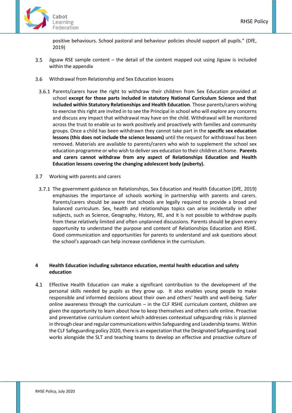

positive behaviours. School pastoral and behaviour policies should support all pupils." (DfE, 2019)

- $3.5$ Jigsaw RSE sample content – the detail of the content mapped out using Jigsaw is included within the appendix
- $3.6$ Withdrawal from Relationship and Sex Education lessons
	- 3.6.1 Parents/carers have the right to withdraw their children from Sex Education provided at school **except for those parts included in statutory National Curriculum Science and that included within Statutory Relationships and Health Education**. Those parents/carers wishing to exercise this right are invited in to see the Principal in school who will explore any concerns and discuss any impact that withdrawal may have on the child. Withdrawal will be monitored across the trust to enable us to work positively and proactively with families and community groups. Once a child has been withdrawn they cannot take part in the **specific sex education lessons (this does not include the science lessons)** until the request for withdrawal has been removed. Materials are available to parents/carers who wish to supplement the school sex education programme or who wish to deliver sex education to their children at home. **Parents and carers cannot withdraw from any aspect of Relationships Education and Health Education lessons covering the changing adolescent body (puberty).**
- Working with parents and carers  $3.7$
- The government guidance on Relationships, Sex Education and Health Education (DfE, 2019) emphasises the importance of schools working in partnership with parents and carers. Parents/carers should be aware that schools are legally required to provide a broad and balanced curriculum. Sex, health and relationships topics can arise incidentally in other subjects, such as Science, Geography, History, RE, and it is not possible to withdraw pupils from these relatively limited and often unplanned discussions. Parents should be given every opportunity to understand the purpose and content of Relationships Education and RSHE. Good communication and opportunities for parents to understand and ask questions about the school's approach can help increase confidence in the curriculum.

### <span id="page-8-0"></span>**4 Health Education including substance education, mental health education and safety education**

 $4.1$ Effective Health Education can make a significant contribution to the development of the personal skills needed by pupils as they grow up. It also enables young people to make responsible and informed decisions about their own and others' health and well-being. Safer online awareness through the curriculum – in the CLF RSHE curriculum content, children are given the opportunity to learn about how to keep themselves and others safe online. Proactive and preventative curriculum content which addresses contextual safeguarding risks is planned in through clear and regular communications within Safeguarding and Leadership teams. Within the CLF Safeguarding policy 2020, there is an expectation that the Designated Safeguarding Lead works alongside the SLT and teaching teams to develop an effective and proactive culture of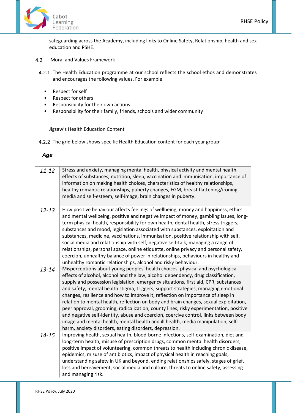

safeguarding across the Academy, including links to Online Safety, Relationship, health and sex education and PSHE.

- $4.2$ Moral and Values Framework
	- 4.2.1 The Health Education programme at our school reflects the school ethos and demonstrates and encourages the following values. For example:
		- Respect for self
		- Respect for others
		- Responsibility for their own actions
		- Responsibility for their family, friends, schools and wider community

Jigsaw's Health Education Content

4.2.2 The grid below shows specific Health Education content for each year group:

# *Age*

| $11 - 12$ | Stress and anxiety, managing mental health, physical activity and mental health,<br>effects of substances, nutrition, sleep, vaccination and immunisation, importance of<br>information on making health choices, characteristics of healthy relationships,<br>healthy romantic relationships, puberty changes, FGM, breast flattening/ironing,<br>media and self-esteem, self-image, brain changes in puberty.                                                                                                                                                                                                                                                                                                                                                                                                                                              |
|-----------|--------------------------------------------------------------------------------------------------------------------------------------------------------------------------------------------------------------------------------------------------------------------------------------------------------------------------------------------------------------------------------------------------------------------------------------------------------------------------------------------------------------------------------------------------------------------------------------------------------------------------------------------------------------------------------------------------------------------------------------------------------------------------------------------------------------------------------------------------------------|
| $12 - 13$ | How positive behaviour affects feelings of wellbeing, money and happiness, ethics<br>and mental wellbeing, positive and negative impact of money, gambling issues, long-<br>term physical health, responsibility for own health, dental health, stress triggers,<br>substances and mood, legislation associated with substances, exploitation and<br>substances, medicine, vaccinations, immunisation, positive relationship with self,<br>social media and relationship with self, negative self-talk, managing a range of<br>relationships, personal space, online etiquette, online privacy and personal safety,<br>coercion, unhealthy balance of power in relationships, behaviours in healthy and<br>unhealthy romantic relationships, alcohol and risky behaviour.                                                                                    |
| 13-14     | Misperceptions about young peoples' health choices, physical and psychological<br>effects of alcohol, alcohol and the law, alcohol dependency, drug classification,<br>supply and possession legislation, emergency situations, first aid, CPR, substances<br>and safety, mental health stigma, triggers, support strategies, managing emotional<br>changes, resilience and how to improve it, reflection on importance of sleep in<br>relation to mental health, reflection on body and brain changes, sexual exploitation,<br>peer approval, grooming, radicalization, county lines, risky experimentation, positive<br>and negative self-identity, abuse and coercion, coercive control, links between body<br>image and mental health, mental health and ill health, media manipulation, self-<br>harm, anxiety disorders, eating disorders, depression. |
| $14 - 15$ | Improving health, sexual health, blood-borne infections, self-examination, diet and<br>long-term health, misuse of prescription drugs, common mental health disorders,<br>positive impact of volunteering, common threats to health including chronic disease,<br>epidemics, misuse of antibiotics, impact of physical health in reaching goals,<br>understanding safety in UK and beyond, ending relationships safely, stages of grief,<br>loss and bereavement, social media and culture, threats to online safety, assessing<br>and managing risk.                                                                                                                                                                                                                                                                                                        |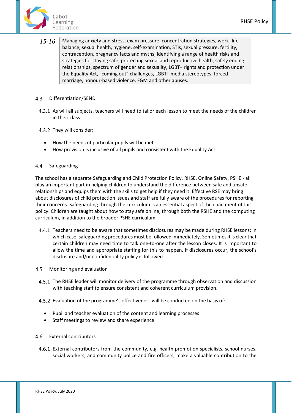

*15-16* Managing anxiety and stress, exam pressure, concentration strategies, work- life balance, sexual health, hygiene, self-examination, STIs, sexual pressure, fertility, contraception, pregnancy facts and myths, identifying a range of health risks and strategies for staying safe, protecting sexual and reproductive health, safely ending relationships, spectrum of gender and sexuality, LGBT+ rights and protection under the Equality Act, "coming out" challenges, LGBT+ media stereotypes, forced marriage, honour-based violence, FGM and other abuses.

#### $4.3$ Differentiation/SEND

- As will all subjects, teachers will need to tailor each lesson to meet the needs of the children in their class.
- 4.3.2 They will consider:
	- How the needs of particular pupils will be met
	- How provision is inclusive of all pupils and consistent with the Equality Act

#### $4.4$ Safeguarding

The school has a separate Safeguarding and Child Protection Policy. RHSE, Online Safety, PSHE - all play an important part in helping children to understand the difference between safe and unsafe relationships and equips them with the skills to get help if they need it. Effective RSE may bring about disclosures of child protection issues and staff are fully aware of the procedures for reporting their concerns. Safeguarding through the curriculum is an essential aspect of the enactment of this policy. Children are taught about how to stay safe online, through both the RSHE and the computing curriculum, in addition to the broader PSHE curriculum.

- 4.4.1 Teachers need to be aware that sometimes disclosures may be made during RHSE lessons; in which case, safeguarding procedures must be followed immediately. Sometimes it is clear that certain children may need time to talk one-to-one after the lesson closes. It is important to allow the time and appropriate staffing for this to happen. If disclosures occur, the school's disclosure and/or confidentiality policy is followed.
- Monitoring and evaluation  $4.5$ 
	- 4.5.1 The RHSE leader will monitor delivery of the programme through observation and discussion with teaching staff to ensure consistent and coherent curriculum provision.
	- Evaluation of the programme's effectiveness will be conducted on the basis of:
		- Pupil and teacher evaluation of the content and learning processes
		- Staff meetings to review and share experience
- 4.6 External contributors
	- External contributors from the community, e.g. health promotion specialists, school nurses, social workers, and community police and fire officers, make a valuable contribution to the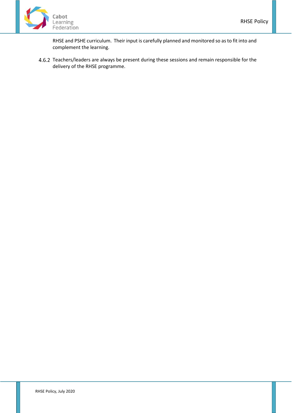

RHSE and PSHE curriculum. Their input is carefully planned and monitored so as to fit into and complement the learning.

4.6.2 Teachers/leaders are always be present during these sessions and remain responsible for the delivery of the RHSE programme.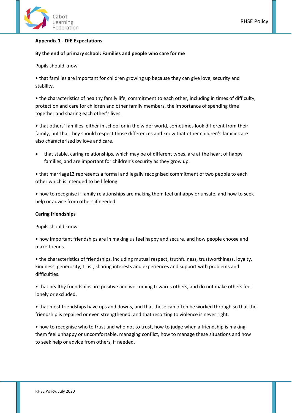

#### <span id="page-12-0"></span>**Appendix 1 - DfE Expectations**

#### **By the end of primary school: Families and people who care for me**

Pupils should know

• that families are important for children growing up because they can give love, security and stability.

• the characteristics of healthy family life, commitment to each other, including in times of difficulty, protection and care for children and other family members, the importance of spending time together and sharing each other's lives.

• that others' families, either in school or in the wider world, sometimes look different from their family, but that they should respect those differences and know that other children's families are also characterised by love and care.

• that stable, caring relationships, which may be of different types, are at the heart of happy families, and are important for children's security as they grow up.

• that marriage13 represents a formal and legally recognised commitment of two people to each other which is intended to be lifelong.

• how to recognise if family relationships are making them feel unhappy or unsafe, and how to seek help or advice from others if needed.

#### **Caring friendships**

Pupils should know

• how important friendships are in making us feel happy and secure, and how people choose and make friends.

• the characteristics of friendships, including mutual respect, truthfulness, trustworthiness, loyalty, kindness, generosity, trust, sharing interests and experiences and support with problems and difficulties.

• that healthy friendships are positive and welcoming towards others, and do not make others feel lonely or excluded.

• that most friendships have ups and downs, and that these can often be worked through so that the friendship is repaired or even strengthened, and that resorting to violence is never right.

• how to recognise who to trust and who not to trust, how to judge when a friendship is making them feel unhappy or uncomfortable, managing conflict, how to manage these situations and how to seek help or advice from others, if needed.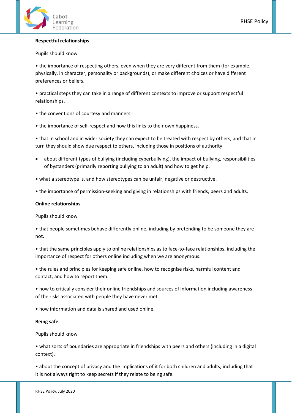

### **Respectful relationships**

#### Pupils should know

• the importance of respecting others, even when they are very different from them (for example, physically, in character, personality or backgrounds), or make different choices or have different preferences or beliefs.

• practical steps they can take in a range of different contexts to improve or support respectful relationships.

- the conventions of courtesy and manners.
- the importance of self-respect and how this links to their own happiness.

• that in school and in wider society they can expect to be treated with respect by others, and that in turn they should show due respect to others, including those in positions of authority.

- about different types of bullying (including cyberbullying), the impact of bullying, responsibilities of bystanders (primarily reporting bullying to an adult) and how to get help.
- what a stereotype is, and how stereotypes can be unfair, negative or destructive.
- the importance of permission-seeking and giving in relationships with friends, peers and adults.

### **Online relationships**

Pupils should know

• that people sometimes behave differently online, including by pretending to be someone they are not.

• that the same principles apply to online relationships as to face-to-face relationships, including the importance of respect for others online including when we are anonymous.

• the rules and principles for keeping safe online, how to recognise risks, harmful content and contact, and how to report them.

• how to critically consider their online friendships and sources of information including awareness of the risks associated with people they have never met.

• how information and data is shared and used online.

#### **Being safe**

Pupils should know

• what sorts of boundaries are appropriate in friendships with peers and others (including in a digital context).

• about the concept of privacy and the implications of it for both children and adults; including that it is not always right to keep secrets if they relate to being safe.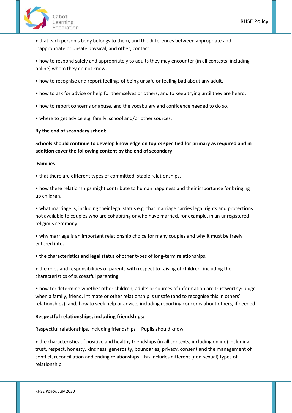

• that each person's body belongs to them, and the differences between appropriate and inappropriate or unsafe physical, and other, contact.

• how to respond safely and appropriately to adults they may encounter (in all contexts, including online) whom they do not know.

- how to recognise and report feelings of being unsafe or feeling bad about any adult.
- how to ask for advice or help for themselves or others, and to keep trying until they are heard.
- how to report concerns or abuse, and the vocabulary and confidence needed to do so.
- where to get advice e.g. family, school and/or other sources.

**By the end of secondary school:**

**Schools should continue to develop knowledge on topics specified for primary as required and in addition cover the following content by the end of secondary:**

#### **Families**

• that there are different types of committed, stable relationships.

• how these relationships might contribute to human happiness and their importance for bringing up children.

• what marriage is, including their legal status e.g. that marriage carries legal rights and protections not available to couples who are cohabiting or who have married, for example, in an unregistered religious ceremony.

• why marriage is an important relationship choice for many couples and why it must be freely entered into.

• the characteristics and legal status of other types of long-term relationships.

• the roles and responsibilities of parents with respect to raising of children, including the characteristics of successful parenting.

• how to: determine whether other children, adults or sources of information are trustworthy: judge when a family, friend, intimate or other relationship is unsafe (and to recognise this in others' relationships); and, how to seek help or advice, including reporting concerns about others, if needed.

# **Respectful relationships, including friendships:**

Respectful relationships, including friendships Pupils should know

• the characteristics of positive and healthy friendships (in all contexts, including online) including: trust, respect, honesty, kindness, generosity, boundaries, privacy, consent and the management of conflict, reconciliation and ending relationships. This includes different (non-sexual) types of relationship.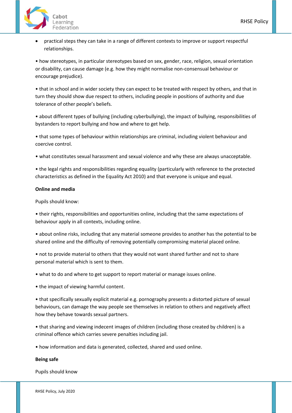

• practical steps they can take in a range of different contexts to improve or support respectful relationships.

• how stereotypes, in particular stereotypes based on sex, gender, race, religion, sexual orientation or disability, can cause damage (e.g. how they might normalise non-consensual behaviour or encourage prejudice).

• that in school and in wider society they can expect to be treated with respect by others, and that in turn they should show due respect to others, including people in positions of authority and due tolerance of other people's beliefs.

• about different types of bullying (including cyberbullying), the impact of bullying, responsibilities of bystanders to report bullying and how and where to get help.

• that some types of behaviour within relationships are criminal, including violent behaviour and coercive control.

• what constitutes sexual harassment and sexual violence and why these are always unacceptable.

• the legal rights and responsibilities regarding equality (particularly with reference to the protected characteristics as defined in the Equality Act 2010) and that everyone is unique and equal.

### **Online and media**

Pupils should know:

• their rights, responsibilities and opportunities online, including that the same expectations of behaviour apply in all contexts, including online.

• about online risks, including that any material someone provides to another has the potential to be shared online and the difficulty of removing potentially compromising material placed online.

• not to provide material to others that they would not want shared further and not to share personal material which is sent to them.

• what to do and where to get support to report material or manage issues online.

• the impact of viewing harmful content.

• that specifically sexually explicit material e.g. pornography presents a distorted picture of sexual behaviours, can damage the way people see themselves in relation to others and negatively affect how they behave towards sexual partners.

• that sharing and viewing indecent images of children (including those created by children) is a criminal offence which carries severe penalties including jail.

• how information and data is generated, collected, shared and used online.

#### **Being safe**

Pupils should know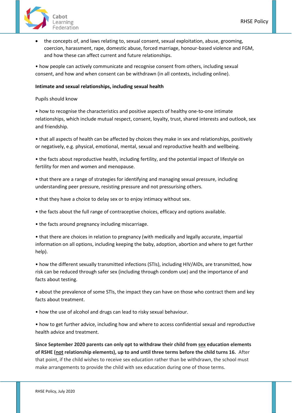

• the concepts of, and laws relating to, sexual consent, sexual exploitation, abuse, grooming, coercion, harassment, rape, domestic abuse, forced marriage, honour-based violence and FGM, and how these can affect current and future relationships.

• how people can actively communicate and recognise consent from others, including sexual consent, and how and when consent can be withdrawn (in all contexts, including online).

#### **Intimate and sexual relationships, including sexual health**

Pupils should know

• how to recognise the characteristics and positive aspects of healthy one-to-one intimate relationships, which include mutual respect, consent, loyalty, trust, shared interests and outlook, sex and friendship.

• that all aspects of health can be affected by choices they make in sex and relationships, positively or negatively, e.g. physical, emotional, mental, sexual and reproductive health and wellbeing.

• the facts about reproductive health, including fertility, and the potential impact of lifestyle on fertility for men and women and menopause.

• that there are a range of strategies for identifying and managing sexual pressure, including understanding peer pressure, resisting pressure and not pressurising others.

- that they have a choice to delay sex or to enjoy intimacy without sex.
- the facts about the full range of contraceptive choices, efficacy and options available.
- the facts around pregnancy including miscarriage.

• that there are choices in relation to pregnancy (with medically and legally accurate, impartial information on all options, including keeping the baby, adoption, abortion and where to get further help).

• how the different sexually transmitted infections (STIs), including HIV/AIDs, are transmitted, how risk can be reduced through safer sex (including through condom use) and the importance of and facts about testing.

• about the prevalence of some STIs, the impact they can have on those who contract them and key facts about treatment.

• how the use of alcohol and drugs can lead to risky sexual behaviour.

• how to get further advice, including how and where to access confidential sexual and reproductive health advice and treatment.

**Since September 2020 parents can only opt to withdraw their child from sex education elements of RSHE (not relationship elements), up to and until three terms before the child turns 16.** After that point, if the child wishes to receive sex education rather than be withdrawn, the school must make arrangements to provide the child with sex education during one of those terms.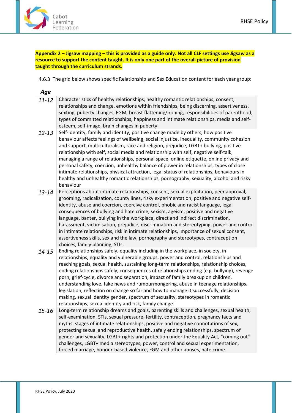

# <span id="page-17-0"></span>**Appendix 2 – Jigsaw mapping – this is provided as a guide only. Not all CLF settings use Jigsaw as a resource to support the content taught. It is only one part of the overall picture of provision taught through the curriculum strands.**

4.6.3 The grid below shows specific Relationship and Sex Education content for each year group:

| Age       |                                                                                                                                                                                                                                                                                                                                                                                                                                                                                                                                                                                                                                                                                                                                                                                  |
|-----------|----------------------------------------------------------------------------------------------------------------------------------------------------------------------------------------------------------------------------------------------------------------------------------------------------------------------------------------------------------------------------------------------------------------------------------------------------------------------------------------------------------------------------------------------------------------------------------------------------------------------------------------------------------------------------------------------------------------------------------------------------------------------------------|
| $11 - 12$ | Characteristics of healthy relationships, healthy romantic relationships, consent,<br>relationships and change, emotions within friendships, being discerning, assertiveness,<br>sexting, puberty changes, FGM, breast flattening/ironing, responsibilities of parenthood,<br>types of committed relationships, happiness and intimate relationships, media and self-<br>esteem, self-image, brain changes in puberty.                                                                                                                                                                                                                                                                                                                                                           |
| $12 - 13$ | Self-identity, family and identity, positive change made by others, how positive<br>behaviour affects feelings of wellbeing, social injustice, inequality, community cohesion<br>and support, multiculturalism, race and religion, prejudice, LGBT+ bullying, positive<br>relationship with self, social media and relationship with self, negative self-talk,<br>managing a range of relationships, personal space, online etiquette, online privacy and<br>personal safety, coercion, unhealthy balance of power in relationships, types of close<br>intimate relationships, physical attraction, legal status of relationships, behaviours in<br>healthy and unhealthy romantic relationships, pornography, sexuality, alcohol and risky<br>behaviour                         |
| $13 - 14$ | Perceptions about intimate relationships, consent, sexual exploitation, peer approval,<br>grooming, radicalization, county lines, risky experimentation, positive and negative self-<br>identity, abuse and coercion, coercive control, phobic and racist language, legal<br>consequences of bullying and hate crime, sexism, ageism, positive and negative<br>language, banter, bullying in the workplace, direct and indirect discrimination,<br>harassment, victimisation, prejudice, discrimination and stereotyping, power and control<br>in intimate relationships, risk in intimate relationships, importance of sexual consent,<br>assertiveness skills, sex and the law, pornography and stereotypes, contraception<br>choices, family planning, STIs.                  |
| $14 - 15$ | Ending relationships safely, equality including in the workplace, in society, in<br>relationships, equality and vulnerable groups, power and control, relationships and<br>reaching goals, sexual health, sustaining long-term relationships, relationship choices,<br>ending relationships safely, consequences of relationships ending (e.g. bullying), revenge<br>porn, grief-cycle, divorce and separation, impact of family breakup on children,<br>understanding love, fake news and rumourmongering, abuse in teenage relationships,<br>legislation, reflection on change so far and how to manage it successfully, decision<br>making, sexual identity gender, spectrum of sexuality, stereotypes in romantic<br>relationships, sexual identity and risk, family change. |
| 15-16     | Long-term relationship dreams and goals, parenting skills and challenges, sexual health,<br>self-examination, STIs, sexual pressure, fertility, contraception, pregnancy facts and<br>myths, stages of intimate relationships, positive and negative connotations of sex,<br>protecting sexual and reproductive health, safely ending relationships, spectrum of<br>gender and sexuality, LGBT+ rights and protection under the Equality Act, "coming out"<br>challenges, LGBT+ media stereotypes, power, control and sexual experimentation,<br>forced marriage, honour-based violence, FGM and other abuses, hate crime.                                                                                                                                                       |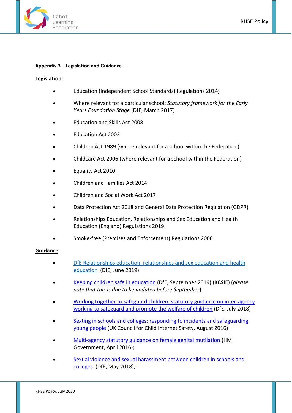

#### <span id="page-18-0"></span>**Appendix 3 – Legislation and Guidance**

#### **Legislation:**

- Education (Independent School Standards) Regulations 2014;
- Where relevant for a particular school: *Statutory framework for the Early Years Foundation Stage* (DfE, March 2017)
- Education and Skills Act 2008
- Education Act 2002
- Children Act 1989 (where relevant for a school within the Federation)
- Childcare Act 2006 (where relevant for a school within the Federation)
- Equality Act 2010
- Children and Families Act 2014
- Children and Social Work Act 2017
- Data Protection Act 2018 and General Data Protection Regulation (GDPR)
- Relationships Education, Relationships and Sex Education and Health Education (England) Regulations 2019
- Smoke-free (Premises and Enforcement) Regulations 2006

# **Guidance**

- DfE Relationships education, relationships and sex education and health education (DfE, June 2019)
- [Keeping children safe in education \(](https://www.gov.uk/government/publications/keeping-children-safe-in-education--2)DfE, September 2019) (**KCSIE**) (*please note that this is due to be updated before September*)
- [Working together to safeguard children: statutory guidance on inter-agency](https://www.gov.uk/government/publications/working-together-to-safeguard-children--2)  [working to safeguard and promote the welfare of children](https://www.gov.uk/government/publications/working-together-to-safeguard-children--2) (DfE, July 2018)
- [Sexting in schools and colleges: responding to incidents and safeguarding](https://www.gov.uk/government/uploads/system/uploads/attachment_data/file/609874/6_2939_SP_NCA_Sexting_In_Schools_FINAL_Update_Jan17.pdf)  [young people \(](https://www.gov.uk/government/uploads/system/uploads/attachment_data/file/609874/6_2939_SP_NCA_Sexting_In_Schools_FINAL_Update_Jan17.pdf)UK Council for Child Internet Safety, August 2016)
- [Multi-agency statutory guidance on female genital mutilation \(](https://www.gov.uk/government/uploads/system/uploads/attachment_data/file/512906/Multi_Agency_Statutory_Guidance_on_FGM__-_FINAL.pdf)HM Government, April 2016);
- [Sexual violence and sexual harassment between children in schools and](https://www.gov.uk/government/uploads/system/uploads/attachment_data/file/667862/Sexual_Harassment_and_Sexual_Violence_-_Advice.pdf)  [colleges](https://www.gov.uk/government/uploads/system/uploads/attachment_data/file/667862/Sexual_Harassment_and_Sexual_Violence_-_Advice.pdf) (DfE, May 2018);